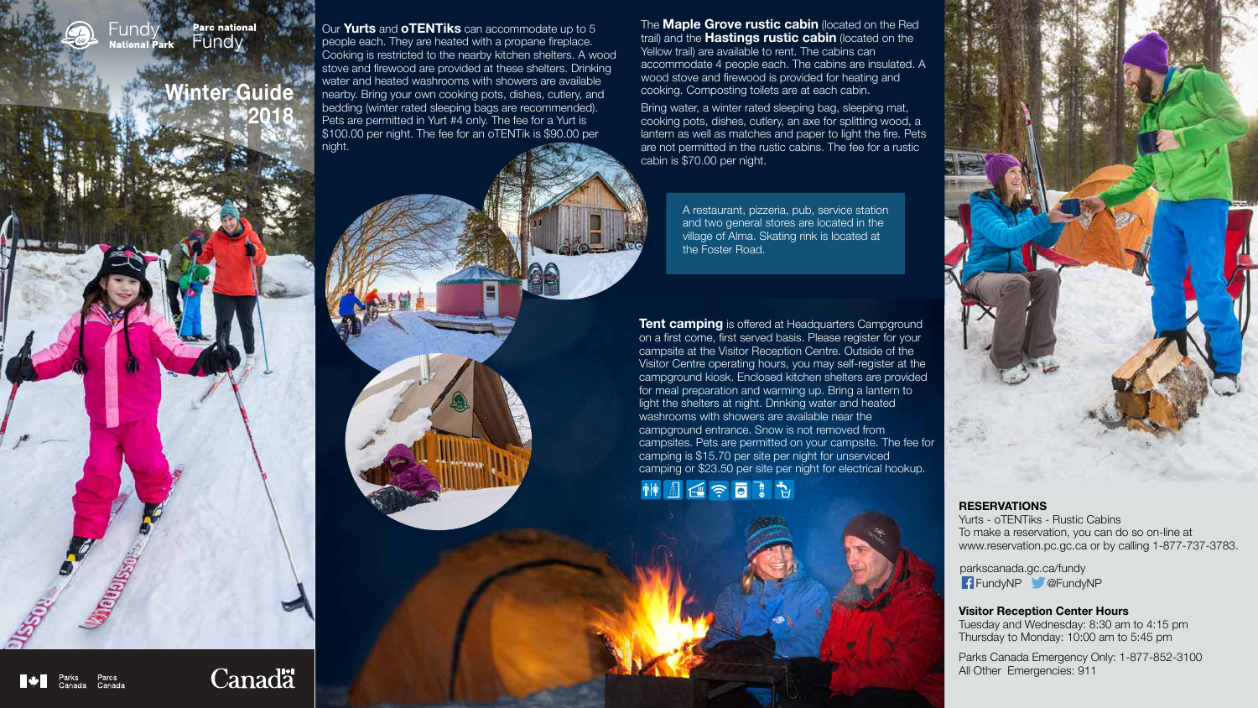**Tent camping** is offered at Headquarters Campground on a first come, first served basis. Please register for your campsite at the Visitor Reception Centre. Outside of the Visitor Centre operating hours, you may self-register at the campground kiosk. Enclosed kitchen shelters are provided for meal preparation and warming up. Bring a lantern to light the shelters at night. Drinking water and heated washrooms with showers are available near the campground entrance. Snow is not removed from campsites. Pets are permitted on your campsite. The fee for camping is \$15.70 per site per night for unserviced camping or \$23.50 per site per night for electrical hookup.

神国区宇日语

Canadä

**SERVE DESCRIPTION** 



Our **Yurts** and **oTENTiks** can accommodate up to 5 people each. They are heated with a propane fireplace. Cooking is restricted to the nearby kitchen shelters. A wood stove and firewood are provided at these shelters. Drinking water and heated washrooms with showers are available nearby. Bring your own cooking pots, dishes, cutlery, and bedding (winter rated sleeping bags are recommended). Pets are permitted in Yurt #4 only. The fee for a Yurt is \$100.00 per night. The fee for an oTENTik is \$90.00 per night.

> parkscanada.gc.ca/fundy FundyNP @FundyNP

### **RESERVATIONS**

Yurts - oTENTiks - Rustic Cabins To make a reservation, you can do so on-line at www.reservation.pc.gc.ca or by calling 1-877-737-3783.

### **Visitor Reception Center Hours**

Tuesday and Wednesday: 8:30 am to 4:15 pm Thursday to Monday: 10:00 am to 5:45 pm

Parks Canada Emergency Only: 1-877-852-3100 All Other Emergencies: 911

### **Parc national** Fundv Fundy **National Park**

# **Winter Guide 2018**

The **Maple Grove rustic cabin** (located on the Red trail) and the **Hastings rustic cabin** (located on the Yellow trail) are available to rent. The cabins can accommodate 4 people each. The cabins are insulated. A wood stove and firewood is provided for heating and cooking. Composting toilets are at each cabin.

Bring water, a winter rated sleeping bag, sleeping mat, cooking pots, dishes, cutlery, an axe for splitting wood, a lantern as well as matches and paper to light the fire. Pets are not permitted in the rustic cabins. The fee for a rustic cabin is \$70.00 per night.

> A restaurant, pizzeria, pub, service station and two general stores are located in the village of Alma. Skating rink is located at the Foster Road.